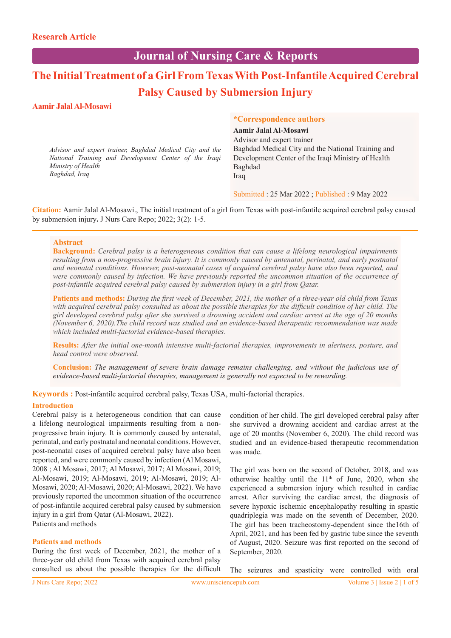# **Journal of Nursing Care & Reports**

# **The Initial Treatment of a Girl From Texas With Post-Infantile Acquired Cerebral Palsy Caused by Submersion Injury**

#### **Aamir Jalal Al-Mosawi**

*Advisor and expert trainer, Baghdad Medical City and the National Training and Development Center of the Iraqi Ministry of Health Baghdad, Iraq*

#### **\*Correspondence authors**

**Aamir Jalal Al-Mosawi** Advisor and expert trainer Baghdad Medical City and the National Training and Development Center of the Iraqi Ministry of Health Baghdad Iraq

Submitted : 25 Mar 2022 ; Published : 9 May 2022

**Citation:** Aamir Jalal Al-Mosawi., The initial treatment of a girl from Texas with post-infantile acquired cerebral palsy caused by submersion injury**.** J Nurs Care Repo; 2022; 3(2): 1-5.

#### **Abstract**

**Background:** *Cerebral palsy is a heterogeneous condition that can cause a lifelong neurological impairments resulting from a non-progressive brain injury. It is commonly caused by antenatal, perinatal, and early postnatal and neonatal conditions. However, post-neonatal cases of acquired cerebral palsy have also been reported, and were commonly caused by infection. We have previously reported the uncommon situation of the occurrence of post-infantile acquired cerebral palsy caused by submersion injury in a girl from Qatar.* 

**Patients and methods:** *During the first week of December, 2021, the mother of a three-year old child from Texas with acquired cerebral palsy consulted us about the possible therapies for the difficult condition of her child. The girl developed cerebral palsy after she survived a drowning accident and cardiac arrest at the age of 20 months (November 6, 2020).The child record was studied and an evidence-based therapeutic recommendation was made which included multi-factorial evidence-based therapies.*

**Results:** *After the initial one-month intensive multi-factorial therapies, improvements in alertness, posture, and head control were observed.* 

**Conclusion:** *The management of severe brain damage remains challenging, and without the judicious use of evidence-based multi-factorial therapies, management is generally not expected to be rewarding.*

**Keywords :** Post-infantile acquired cerebral palsy, Texas USA, multi-factorial therapies.

#### **Introduction**

Cerebral palsy is a heterogeneous condition that can cause a lifelong neurological impairments resulting from a nonprogressive brain injury. It is commonly caused by antenatal, perinatal, and early postnatal and neonatal conditions. However, post-neonatal cases of acquired cerebral palsy have also been reported, and were commonly caused by infection (Al Mosawi, 2008 ; Al Mosawi, 2017; Al Mosawi, 2017; Al Mosawi, 2019; Al-Mosawi, 2019; Al-Mosawi, 2019; Al-Mosawi, 2019; Al-Mosawi, 2020; Al-Mosawi, 2020; Al-Mosawi, 2022). We have previously reported the uncommon situation of the occurrence of post-infantile acquired cerebral palsy caused by submersion injury in a girl from Qatar (Al-Mosawi, 2022). Patients and methods

#### **Patients and methods**

During the first week of December, 2021, the mother of a three-year old child from Texas with acquired cerebral palsy consulted us about the possible therapies for the difficult condition of her child. The girl developed cerebral palsy after she survived a drowning accident and cardiac arrest at the age of 20 months (November 6, 2020). The child record was studied and an evidence-based therapeutic recommendation was made.

The girl was born on the second of October, 2018, and was otherwise healthy until the  $11<sup>th</sup>$  of June, 2020, when she experienced a submersion injury which resulted in cardiac arrest. After surviving the cardiac arrest, the diagnosis of severe hypoxic ischemic encephalopathy resulting in spastic quadriplegia was made on the seventh of December, 2020. The girl has been tracheostomy-dependent since the16th of April, 2021, and has been fed by gastric tube since the seventh of August, 2020. Seizure was first reported on the second of September, 2020.

The seizures and spasticity were controlled with oral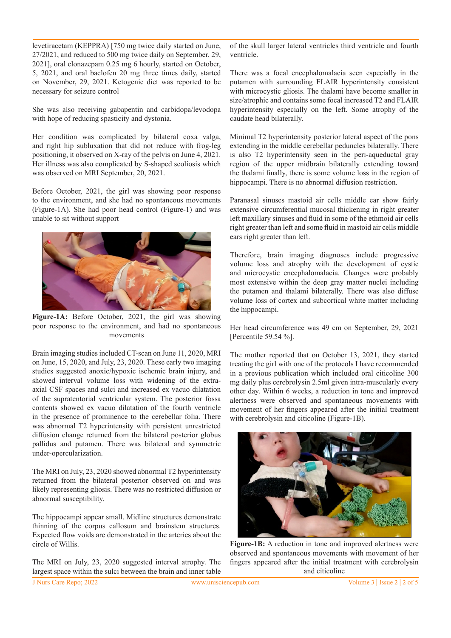levetiracetam (KEPPRA) [750 mg twice daily started on June, 27/2021, and reduced to 500 mg twice daily on September, 29, 2021], oral clonazepam 0.25 mg 6 hourly, started on October, 5, 2021, and oral baclofen 20 mg three times daily, started on November, 29, 2021. Ketogenic diet was reported to be necessary for seizure control

She was also receiving gabapentin and carbidopa/levodopa with hope of reducing spasticity and dystonia.

Her condition was complicated by bilateral coxa valga, and right hip subluxation that did not reduce with frog-leg positioning, it observed on X-ray of the pelvis on June 4, 2021. Her illness was also complicated by S-shaped scoliosis which was observed on MRI September, 20, 2021.

Before October, 2021, the girl was showing poor response to the environment, and she had no spontaneous movements (Figure-1A). She had poor head control (Figure-1) and was unable to sit without support



**Figure-1A:** Before October, 2021, the girl was showing poor response to the environment, and had no spontaneous movements

Brain imaging studies included CT-scan on June 11, 2020, MRI on June, 15, 2020, and July, 23, 2020. These early two imaging studies suggested anoxic/hypoxic ischemic brain injury, and showed interval volume loss with widening of the extraaxial CSF spaces and sulci and increased ex vacuo dilatation of the supratentorial ventricular system. The posterior fossa contents showed ex vacuo dilatation of the fourth ventricle in the presence of prominence to the cerebellar folia. There was abnormal T2 hyperintensity with persistent unrestricted diffusion change returned from the bilateral posterior globus pallidus and putamen. There was bilateral and symmetric under-opercularization.

The MRI on July, 23, 2020 showed abnormal T2 hyperintensity returned from the bilateral posterior observed on and was likely representing gliosis. There was no restricted diffusion or abnormal susceptibility.

The hippocampi appear small. Midline structures demonstrate thinning of the corpus callosum and brainstem structures. Expected flow voids are demonstrated in the arteries about the circle of Willis.

The MRI on July, 23, 2020 suggested interval atrophy. The largest space within the sulci between the brain and inner table of the skull larger lateral ventricles third ventricle and fourth ventricle.

There was a focal encephalomalacia seen especially in the putamen with surrounding FLAIR hyperintensity consistent with microcystic gliosis. The thalami have become smaller in size/atrophic and contains some focal increased T2 and FLAIR hyperintensity especially on the left. Some atrophy of the caudate head bilaterally.

Minimal T2 hyperintensity posterior lateral aspect of the pons extending in the middle cerebellar peduncles bilaterally. There is also T2 hyperintensity seen in the peri-aqueductal gray region of the upper midbrain bilaterally extending toward the thalami finally, there is some volume loss in the region of hippocampi. There is no abnormal diffusion restriction.

Paranasal sinuses mastoid air cells middle ear show fairly extensive circumferential mucosal thickening in right greater left maxillary sinuses and fluid in some of the ethmoid air cells right greater than left and some fluid in mastoid air cells middle ears right greater than left.

Therefore, brain imaging diagnoses include progressive volume loss and atrophy with the development of cystic and microcystic encephalomalacia. Changes were probably most extensive within the deep gray matter nuclei including the putamen and thalami bilaterally. There was also diffuse volume loss of cortex and subcortical white matter including the hippocampi.

Her head circumference was 49 cm on September, 29, 2021 [Percentile 59.54 %].

The mother reported that on October 13, 2021, they started treating the girl with one of the protocols I have recommended in a previous publication which included oral citicoline 300 mg daily plus cerebrolysin 2.5ml given intra-muscularly every other day. Within 6 weeks, a reduction in tone and improved alertness were observed and spontaneous movements with movement of her fingers appeared after the initial treatment with cerebrolysin and citicoline (Figure-1B).



**Figure-1B:** A reduction in tone and improved alertness were observed and spontaneous movements with movement of her fingers appeared after the initial treatment with cerebrolysin and citicoline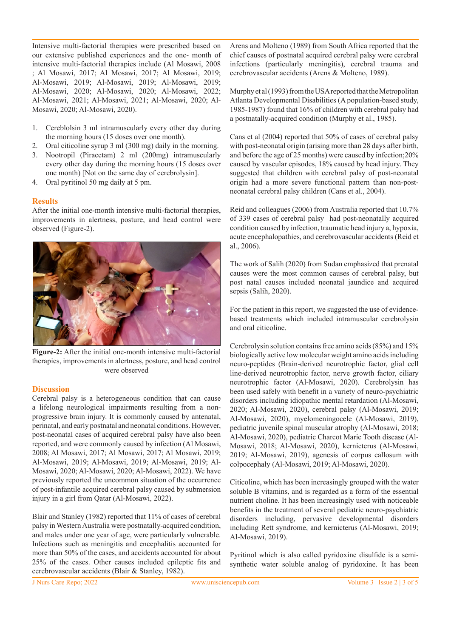Intensive multi-factorial therapies were prescribed based on our extensive published experiences and the one- month of intensive multi-factorial therapies include (Al Mosawi, 2008 ; Al Mosawi, 2017; Al Mosawi, 2017; Al Mosawi, 2019; Al-Mosawi, 2019; Al-Mosawi, 2019; Al-Mosawi, 2019; Al-Mosawi, 2020; Al-Mosawi, 2020; Al-Mosawi, 2022; Al-Mosawi, 2021; Al-Mosawi, 2021; Al-Mosawi, 2020; Al-Mosawi, 2020; Al-Mosawi, 2020).

- 1. Cereblolsin 3 ml intramuscularly every other day during the morning hours (15 doses over one month).
- 2. Oral citicoline syrup 3 ml (300 mg) daily in the morning.
- 3. Nootropil (Piracetam) 2 ml (200mg) intramuscularly every other day during the morning hours (15 doses over one month) [Not on the same day of cerebrolysin].
- 4. Oral pyritinol 50 mg daily at 5 pm.

#### **Results**

After the initial one-month intensive multi-factorial therapies, improvements in alertness, posture, and head control were observed (Figure-2).



**Figure-2:** After the initial one-month intensive multi-factorial therapies, improvements in alertness, posture, and head control were observed

#### **Discussion**

Cerebral palsy is a heterogeneous condition that can cause a lifelong neurological impairments resulting from a nonprogressive brain injury. It is commonly caused by antenatal, perinatal, and early postnatal and neonatal conditions. However, post-neonatal cases of acquired cerebral palsy have also been reported, and were commonly caused by infection (Al Mosawi, 2008; Al Mosawi, 2017; Al Mosawi, 2017; Al Mosawi, 2019; Al-Mosawi, 2019; Al-Mosawi, 2019; Al-Mosawi, 2019; Al-Mosawi, 2020; Al-Mosawi, 2020; Al-Mosawi, 2022). We have previously reported the uncommon situation of the occurrence of post-infantile acquired cerebral palsy caused by submersion injury in a girl from Qatar (Al-Mosawi, 2022).

Blair and Stanley (1982) reported that 11% of cases of cerebral palsy in Western Australia were postnatally-acquired condition, and males under one year of age, were particularly vulnerable. Infections such as meningitis and encephalitis accounted for more than 50% of the cases, and accidents accounted for about 25% of the cases. Other causes included epileptic fits and cerebrovascular accidents (Blair & Stanley, 1982).

Arens and Molteno (1989) from South Africa reported that the chief causes of postnatal acquired cerebral palsy were cerebral infections (particularly meningitis), cerebral trauma and cerebrovascular accidents (Arens & Molteno, 1989).

Murphy et al (1993) from the USA reported that the Metropolitan Atlanta Developmental Disabilities (A population-based study, 1985-1987) found that 16% of children with cerebral palsy had a postnatally-acquired condition (Murphy et al., 1985).

Cans et al (2004) reported that 50% of cases of cerebral palsy with post-neonatal origin (arising more than 28 days after birth, and before the age of 25 months) were caused by infection;20% caused by vascular episodes, 18% caused by head injury. They suggested that children with cerebral palsy of post-neonatal origin had a more severe functional pattern than non-postneonatal cerebral palsy children (Cans et al., 2004).

Reid and colleagues (2006) from Australia reported that 10.7% of 339 cases of cerebral palsy had post-neonatally acquired condition caused by infection, traumatic head injury a, hypoxia, acute encephalopathies, and cerebrovascular accidents (Reid et al., 2006).

The work of Salih (2020) from Sudan emphasized that prenatal causes were the most common causes of cerebral palsy, but post natal causes included neonatal jaundice and acquired sepsis (Salih, 2020).

For the patient in this report, we suggested the use of evidencebased treatments which included intramuscular cerebrolysin and oral citicoline.

Cerebrolysin solution contains free amino acids (85%) and 15% biologically active low molecular weight amino acids including neuro-peptides (Brain-derived neurotrophic factor, glial cell line-derived neurotrophic factor, nerve growth factor, ciliary neurotrophic factor (Al-Mosawi, 2020). Cerebrolysin has been used safely with benefit in a variety of neuro-psychiatric disorders including idiopathic mental retardation (Al-Mosawi, 2020; Al-Mosawi, 2020), cerebral palsy (Al-Mosawi, 2019; Al-Mosawi, 2020), myelomeningocele (Al-Mosawi, 2019), pediatric juvenile spinal muscular atrophy (Al-Mosawi, 2018; Al-Mosawi, 2020), pediatric Charcot Marie Tooth disease (Al-Mosawi, 2018; Al-Mosawi, 2020), kernicterus (Al-Mosawi, 2019; Al-Mosawi, 2019), agenesis of corpus callosum with colpocephaly (Al-Mosawi, 2019; Al-Mosawi, 2020).

Citicoline, which has been increasingly grouped with the water soluble B vitamins, and is regarded as a form of the essential nutrient choline. It has been increasingly used with noticeable benefits in the treatment of several pediatric neuro-psychiatric disorders including, pervasive developmental disorders including Rett syndrome, and kernicterus (Al-Mosawi, 2019; Al-Mosawi, 2019).

Pyritinol which is also called pyridoxine disulfide is a semisynthetic water soluble analog of pyridoxine. It has been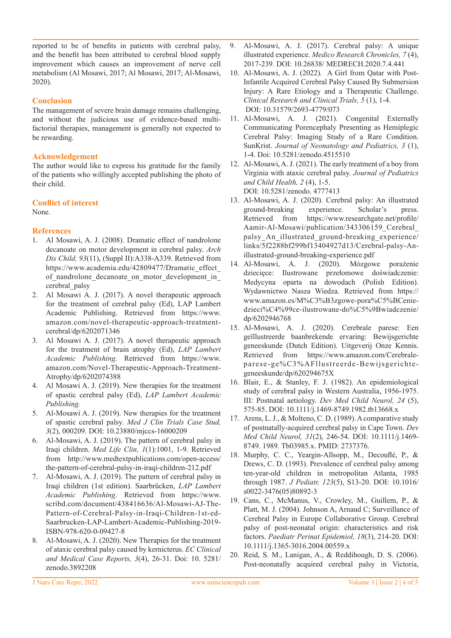reported to be of benefits in patients with cerebral palsy, and the benefit has been attributed to cerebral blood supply improvement which causes an improvement of nerve cell metabolism (Al Mosawi, 2017; Al Mosawi, 2017; Al-Mosawi, 2020).

# **Conclusion**

The management of severe brain damage remains challenging, and without the judicious use of evidence-based multifactorial therapies, management is generally not expected to be rewarding.

## **Acknowledgement**

The author would like to express his gratitude for the family of the patients who willingly accepted publishing the photo of their child.

## **Conflict of interest**

None.

# **References**

- 1. Al Mosawi, A. J. (2008). Dramatic effect of nandrolone decanoate on motor development in cerebral palsy. *Arch Dis Child, 93*(11), (Suppl II):A338-A339. Retrieved from https://www.academia.edu/42809477/Dramatic\_effect\_ of nandrolone decanoate on motor development in cerebral\_palsy
- 2. Al Mosawi A. J. (2017). A novel therapeutic approach for the treatment of cerebral palsy (Ed), LAP Lambert Academic Publishing. Retrieved from https://www. amazon.com/novel-therapeutic-approach-treatmentcerebral/dp/6202071346
- 3. Al Mosawi A. J. (2017). A novel therapeutic approach for the treatment of brain atrophy (Ed), *LAP Lambert Academic Publishing*. Retrieved from https://www. amazon.com/Novel-Therapeutic-Approach-Treatment-Atrophy/dp/6202074388
- 4. Al Mosawi A. J. (2019). New therapies for the treatment of spastic cerebral palsy (Ed), *LAP Lambert Academic Publishing.*
- 5. Al-Mosawi A. J. (2019). New therapies for the treatment of spastic cerebral palsy. *Med J Clin Trials Case Stud, 3*(2), 000209. DOI: 10.23880/mjccs-16000209
- 6. Al-Mosawi, A. J. (2019). The pattern of cerebral palsy in Iraqi children. *Med Life Clin, 1*(1):1001, 1-9. Retrieved from http://www.medtextpublications.com/open-access/ the-pattern-of-cerebral-palsy-in-iraqi-children-212.pdf
- 7. Al-Mosawi, A. J. (2019). The pattern of cerebral palsy in Iraqi children (1st edition). Saarbrücken, *LAP Lambert Academic Publishing*. Retrieved from https://www. scribd.com/document/438416636/Al-Mosawi-AJ-The-Pattern-of-Cerebral-Palsy-in-Iraqi-Children-1st-ed-Saarbrucken-LAP-Lambert-Academic-Publishing-2019- ISBN-978-620-0-09427-8
- 8. Al-Mosawi, A. J. (2020). New Therapies for the treatment of ataxic cerebral palsy caused by kernicterus. *EC Clinical and Medical Case Reports, 3*(4), 26-31. Doi: 10. 5281/ zenodo.3892208
- 9. Al-Mosawi, A. J. (2017). Cerebral palsy: A unique illustrated experience. *Medico Research Chronicles, 7* (4), 2017-239. DOI: 10.26838/ MEDRECH.2020.7.4.441
- 10. Al-Mosawi, A. J. (2022). A Girl from Qatar with Post-Infantile Acquired Cerebral Palsy Caused By Submersion Injury: A Rare Etiology and a Therapeutic Challenge. *Clinical Research and Clinical Trials, 5* (1), 1-4. DOI: 10.31579/2693-4779/073
- 11. Al-Mosawi, A. J. (2021). Congenital Externally Communicating Porencephaly Presenting as Hemiplegic Cerebral Palsy: Imaging Study of a Rare Condition. SunKrist. *Journal of Neonatology and Pediatrics, 3* (1), 1-4. Doi: 10.5281/zenodo.4515510
- 12. Al-Mosawi, A. J. (2021). The early treatment of a boy from Virginia with ataxic cerebral palsy. *Journal of Pediatrics and Child Health, 2* (4), 1-5. DOI: 10.5281/zenodo. 4777413
- 13. Al-Mosawi, A. J. (2020). Cerebral palsy: An illustrated ground-breaking experience. Scholar's press. Retrieved from https://www.researchgate.net/profile/ Aamir-Al-Mosawi/publication/343306159\_Cerebral\_ palsy\_An\_illustrated\_ground-breaking\_experience/ links/5f2288bf299bf13404927d13/Cerebral-palsy-Anillustrated-ground-breaking-experience.pdf
- 14. Al-Mosawi, A. J. (2020). Mózgowe porażenie dziecięce: Ilustrowane przełomowe doświadczenie: Medycyna oparta na dowodach (Polish Edition). Wydawnictwo Nasza Wiedza. Retrieved from https:// www.amazon.es/M%C3%B3zgowe-pora%C5%BCeniedzieci%C4%99ce-ilustrowane-do%C5%9Bwiadczenie/ dp/6202946768
- 15. Al-Mosawi, A. J. (2020). Cerebrale parese: Een geïllustreerde baanbrekende ervaring: Bewijsgerichte geneeskunde (Dutch Edition). Uitgeverij Onze Kennis. Retrieved from https://www.amazon.com/Cerebraleparese-ge%C3%AFllustreerde-Bewijsgerichtegeneeskunde/dp/620294675X
- 16. Blair, E., & Stanley, F. J. (1982). An epidemiological study of cerebral palsy in Western Australia, 1956-1975. III: Postnatal aetiology. *Dev Med Child Neurol, 24* (5), 575-85. DOI: 10.1111/j.1469-8749.1982.tb13668.x
- 17. Arens, L. J., & Molteno, C. D. (1989). A comparative study of postnatally-acquired cerebral palsy in Cape Town. *Dev Med Child Neurol, 31*(2), 246-54. DOI: 10.1111/j.1469- 8749. 1989. Tb03985.x. PMID: 2737376.
- 18. Murphy, C. C., Yeargin-Allsopp, M., Decouflé, P., & Drews, C. D. (1993). Prevalence of cerebral palsy among ten-year-old children in metropolitan Atlanta, 1985 through 1987. *J Pediatr, 123*(5), S13-20. DOI: 10.1016/ s0022-3476(05)80892-3
- 19. Cans, C., McManus, V., Crowley, M., Guillem, P., & Platt, M. J. (2004). Johnson A, Arnaud C; Surveillance of Cerebral Palsy in Europe Collaborative Group. Cerebral palsy of post-neonatal origin: characteristics and risk factors. *Paediatr Perinat Epidemiol, 18*(3), 214-20. DOI: 10.1111/j.1365-3016.2004.00559.x
- 20. Reid, S. M., Lanigan, A., & Reddihough, D. S. (2006). Post-neonatally acquired cerebral palsy in Victoria,